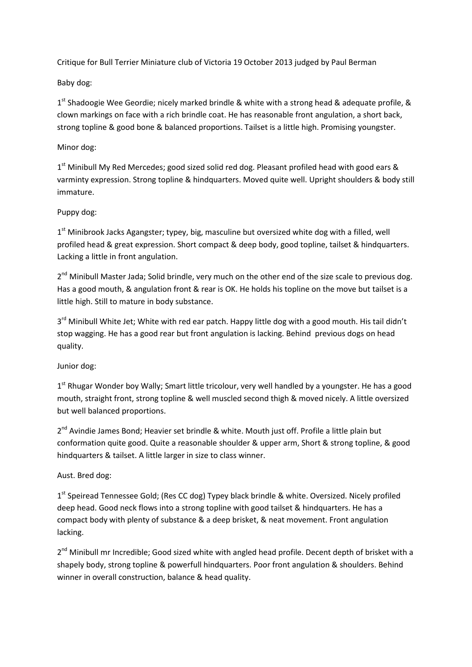Critique for Bull Terrier Miniature club of Victoria 19 October 2013 judged by Paul Berman

Baby dog:

1<sup>st</sup> Shadoogie Wee Geordie; nicely marked brindle & white with a strong head & adequate profile, & clown markings on face with a rich brindle coat. He has reasonable front angulation, a short back, strong topline & good bone & balanced proportions. Tailset is a little high. Promising youngster.

# Minor dog:

1<sup>st</sup> Minibull My Red Mercedes; good sized solid red dog. Pleasant profiled head with good ears & varminty expression. Strong topline & hindquarters. Moved quite well. Upright shoulders & body still immature.

# Puppy dog:

1<sup>st</sup> Minibrook Jacks Agangster; typey, big, masculine but oversized white dog with a filled, well profiled head & great expression. Short compact & deep body, good topline, tailset & hindquarters. Lacking a little in front angulation.

2<sup>nd</sup> Minibull Master Jada; Solid brindle, very much on the other end of the size scale to previous dog. Has a good mouth, & angulation front & rear is OK. He holds his topline on the move but tailset is a little high. Still to mature in body substance.

3<sup>rd</sup> Minibull White Jet; White with red ear patch. Happy little dog with a good mouth. His tail didn't stop wagging. He has a good rear but front angulation is lacking. Behind previous dogs on head quality.

Junior dog:

1<sup>st</sup> Rhugar Wonder boy Wally; Smart little tricolour, very well handled by a youngster. He has a good mouth, straight front, strong topline & well muscled second thigh & moved nicely. A little oversized but well balanced proportions.

2<sup>nd</sup> Avindie James Bond; Heavier set brindle & white. Mouth just off. Profile a little plain but conformation quite good. Quite a reasonable shoulder & upper arm, Short & strong topline, & good hindquarters & tailset. A little larger in size to class winner.

Aust. Bred dog:

1<sup>st</sup> Speiread Tennessee Gold; (Res CC dog) Typey black brindle & white. Oversized. Nicely profiled deep head. Good neck flows into a strong topline with good tailset & hindquarters. He has a compact body with plenty of substance & a deep brisket, & neat movement. Front angulation lacking.

2<sup>nd</sup> Minibull mr Incredible; Good sized white with angled head profile. Decent depth of brisket with a shapely body, strong topline & powerfull hindquarters. Poor front angulation & shoulders. Behind winner in overall construction, balance & head quality.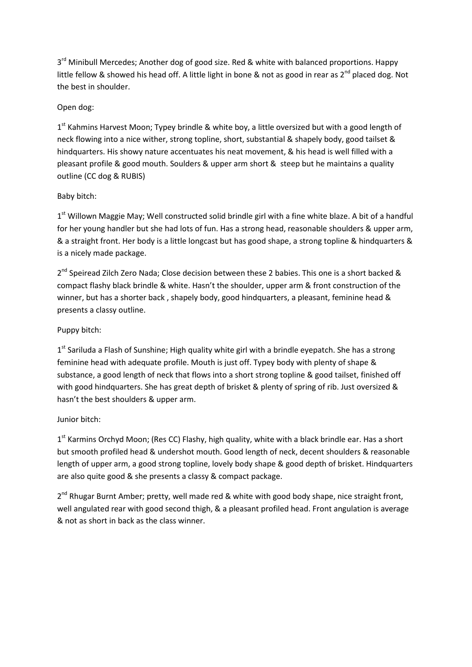3<sup>rd</sup> Minibull Mercedes; Another dog of good size. Red & white with balanced proportions. Happy little fellow & showed his head off. A little light in bone & not as good in rear as 2<sup>nd</sup> placed dog. Not the best in shoulder.

# Open dog:

1<sup>st</sup> Kahmins Harvest Moon; Typey brindle & white boy, a little oversized but with a good length of neck flowing into a nice wither, strong topline, short, substantial & shapely body, good tailset & hindquarters. His showy nature accentuates his neat movement, & his head is well filled with a pleasant profile & good mouth. Soulders & upper arm short & steep but he maintains a quality outline (CC dog & RUBIS)

# Baby bitch:

1<sup>st</sup> Willown Maggie May; Well constructed solid brindle girl with a fine white blaze. A bit of a handful for her young handler but she had lots of fun. Has a strong head, reasonable shoulders & upper arm, & a straight front. Her body is a little longcast but has good shape, a strong topline & hindquarters & is a nicely made package.

2<sup>nd</sup> Speiread Zilch Zero Nada; Close decision between these 2 babies. This one is a short backed & compact flashy black brindle & white. Hasn't the shoulder, upper arm & front construction of the winner, but has a shorter back , shapely body, good hindquarters, a pleasant, feminine head & presents a classy outline.

# Puppy bitch:

 $1<sup>st</sup>$  Sariluda a Flash of Sunshine; High quality white girl with a brindle eyepatch. She has a strong feminine head with adequate profile. Mouth is just off. Typey body with plenty of shape & substance, a good length of neck that flows into a short strong topline & good tailset, finished off with good hindquarters. She has great depth of brisket & plenty of spring of rib. Just oversized & hasn't the best shoulders & upper arm.

## Junior bitch:

1<sup>st</sup> Karmins Orchyd Moon; (Res CC) Flashy, high quality, white with a black brindle ear. Has a short but smooth profiled head & undershot mouth. Good length of neck, decent shoulders & reasonable length of upper arm, a good strong topline, lovely body shape & good depth of brisket. Hindquarters are also quite good & she presents a classy & compact package.

2<sup>nd</sup> Rhugar Burnt Amber; pretty, well made red & white with good body shape, nice straight front, well angulated rear with good second thigh, & a pleasant profiled head. Front angulation is average & not as short in back as the class winner.